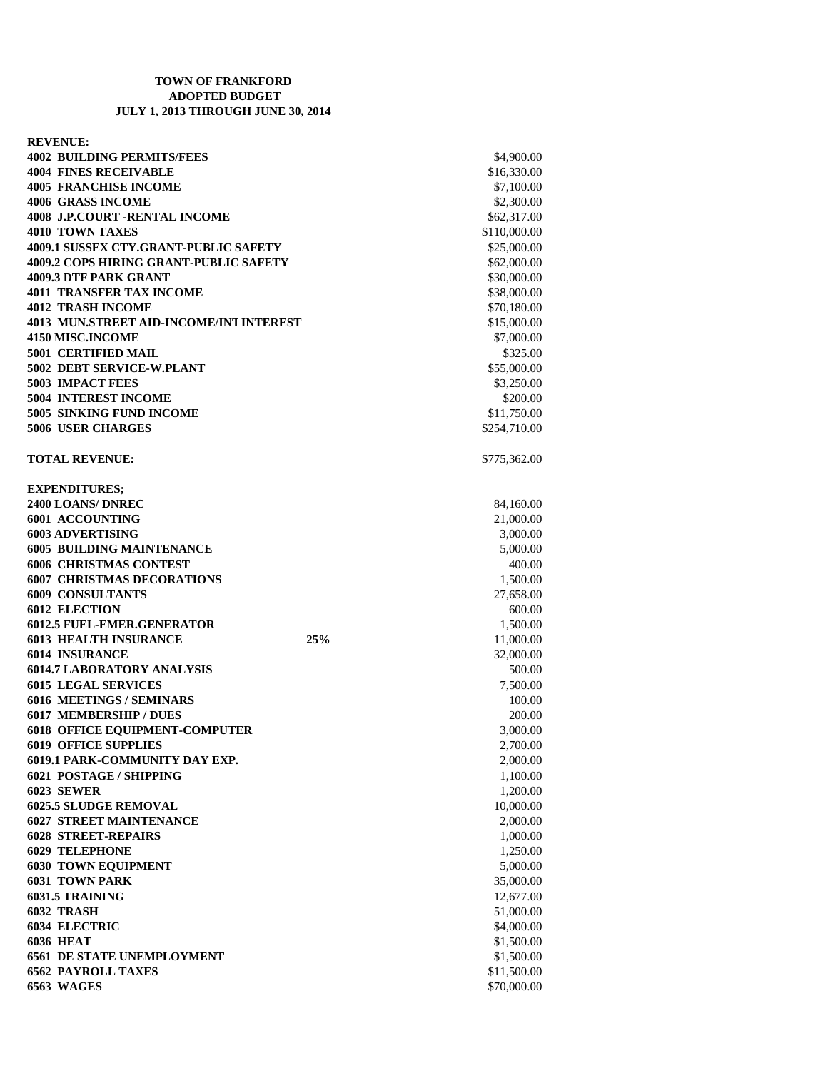## **TOWN OF FRANKFORD ADOPTED BUDGET JULY 1, 2013 THROUGH JUNE 30, 2014**

| <b>REVENUE:</b>                                |                  |
|------------------------------------------------|------------------|
| <b>4002 BUILDING PERMITS/FEES</b>              | \$4,900.00       |
| <b>4004 FINES RECEIVABLE</b>                   | \$16,330.00      |
| <b>4005 FRANCHISE INCOME</b>                   | \$7,100.00       |
| <b>4006 GRASS INCOME</b>                       | \$2,300.00       |
| <b>4008 J.P.COURT -RENTAL INCOME</b>           | \$62,317.00      |
| <b>4010 TOWN TAXES</b>                         | \$110,000.00     |
| <b>4009.1 SUSSEX CTY.GRANT-PUBLIC SAFETY</b>   | \$25,000.00      |
| <b>4009.2 COPS HIRING GRANT-PUBLIC SAFETY</b>  | \$62,000.00      |
| <b>4009.3 DTF PARK GRANT</b>                   | \$30,000.00      |
| <b>4011 TRANSFER TAX INCOME</b>                | \$38,000.00      |
| <b>4012 TRASH INCOME</b>                       | \$70,180.00      |
| <b>4013 MUN.STREET AID-INCOME/INT INTEREST</b> | \$15,000.00      |
| 4150 MISC.INCOME                               | \$7,000.00       |
| <b>5001 CERTIFIED MAIL</b>                     | \$325.00         |
| 5002 DEBT SERVICE-W.PLANT                      | \$55,000.00      |
| <b>5003 IMPACT FEES</b>                        | \$3,250.00       |
| <b>5004 INTEREST INCOME</b>                    | \$200.00         |
| 5005 SINKING FUND INCOME                       | \$11,750.00      |
| <b>5006 USER CHARGES</b>                       | \$254,710.00     |
| <b>TOTAL REVENUE:</b>                          | \$775,362.00     |
|                                                |                  |
| <b>EXPENDITURES;</b>                           |                  |
| 2400 LOANS/ DNREC                              | 84,160.00        |
| 6001 ACCOUNTING                                | 21,000.00        |
| <b>6003 ADVERTISING</b>                        | 3,000.00         |
| <b>6005 BUILDING MAINTENANCE</b>               | 5,000.00         |
| <b>6006 CHRISTMAS CONTEST</b>                  | 400.00           |
| <b>6007 CHRISTMAS DECORATIONS</b>              | 1,500.00         |
| <b>6009 CONSULTANTS</b>                        | 27,658.00        |
| <b>6012 ELECTION</b>                           | 600.00           |
| <b>6012.5 FUEL-EMER.GENERATOR</b>              | 1,500.00         |
| <b>6013 HEALTH INSURANCE</b>                   | 25%<br>11,000.00 |
| <b>6014 INSURANCE</b>                          | 32,000.00        |
| <b>6014.7 LABORATORY ANALYSIS</b>              | 500.00           |
| <b>6015 LEGAL SERVICES</b>                     | 7,500.00         |
| <b>6016 MEETINGS / SEMINARS</b>                | 100.00           |
| <b>6017 MEMBERSHIP / DUES</b>                  | 200.00           |
| <b>6018 OFFICE EQUIPMENT-COMPUTER</b>          | 3,000.00         |
| <b>6019 OFFICE SUPPLIES</b>                    | 2,700.00         |
| 6019.1 PARK-COMMUNITY DAY EXP.                 | 2,000.00         |
| 6021 POSTAGE / SHIPPING                        | 1,100.00         |
| <b>6023 SEWER</b>                              | 1,200.00         |
| <b>6025.5 SLUDGE REMOVAL</b>                   | 10,000.00        |
| <b>6027 STREET MAINTENANCE</b>                 | 2,000.00         |
| <b>6028 STREET-REPAIRS</b>                     | 1,000.00         |
| <b>6029 TELEPHONE</b>                          | 1,250.00         |
| <b>6030 TOWN EQUIPMENT</b>                     | 5,000.00         |
| <b>6031 TOWN PARK</b>                          | 35,000.00        |
| 6031.5 TRAINING                                | 12,677.00        |
| 6032 TRASH                                     | 51,000.00        |
| <b>6034 ELECTRIC</b>                           | \$4,000.00       |
| <b>6036 HEAT</b>                               | \$1,500.00       |
| <b>6561 DE STATE UNEMPLOYMENT</b>              | \$1,500.00       |
| <b>6562 PAYROLL TAXES</b>                      | \$11,500.00      |
| 6563 WAGES                                     | \$70,000.00      |